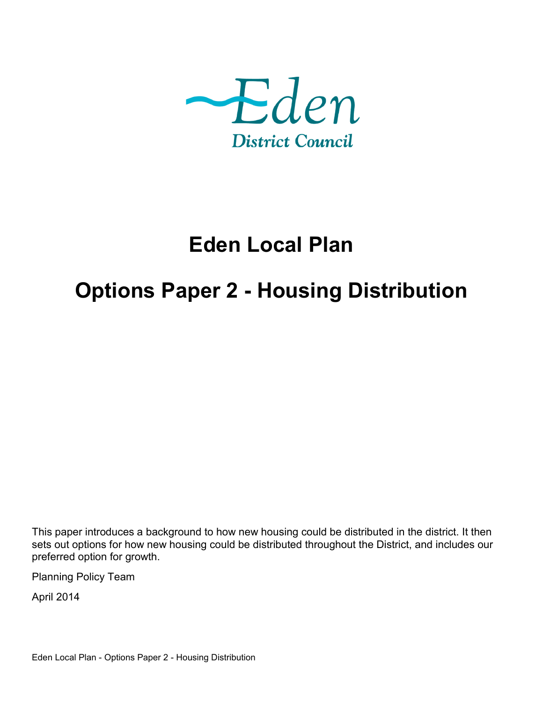

# **Eden Local Plan**

# **Options Paper 2 - Housing Distribution**

This paper introduces a background to how new housing could be distributed in the district. It then sets out options for how new housing could be distributed throughout the District, and includes our preferred option for growth.

Planning Policy Team

April 2014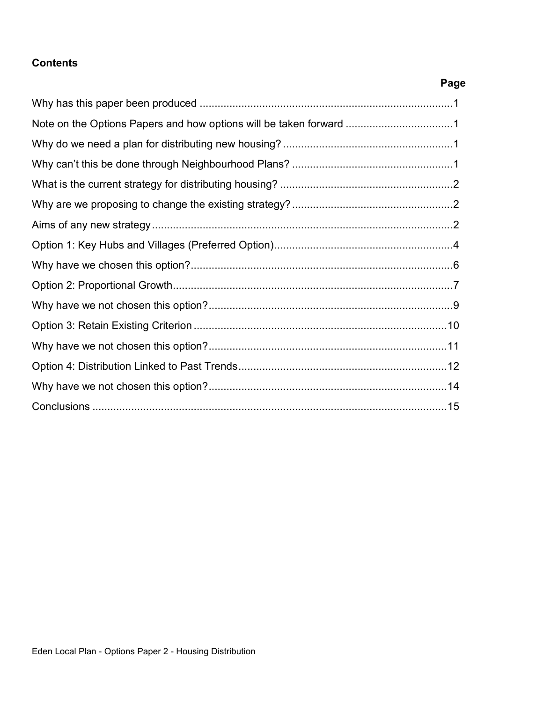### **Contents**

**Page**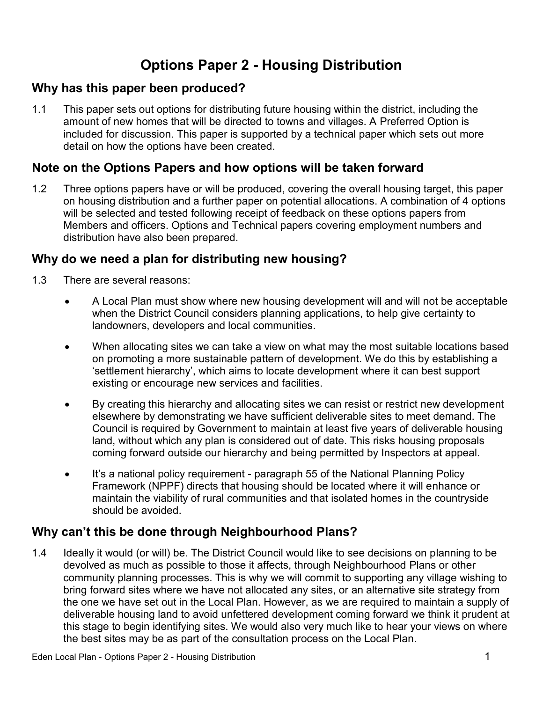## **Options Paper 2 - Housing Distribution**

## **Why has this paper been produced?**

1.1 This paper sets out options for distributing future housing within the district, including the amount of new homes that will be directed to towns and villages. A Preferred Option is included for discussion. This paper is supported by a technical paper which sets out more detail on how the options have been created.

## **Note on the Options Papers and how options will be taken forward**

1.2 Three options papers have or will be produced, covering the overall housing target, this paper on housing distribution and a further paper on potential allocations. A combination of 4 options will be selected and tested following receipt of feedback on these options papers from Members and officers. Options and Technical papers covering employment numbers and distribution have also been prepared.

## **Why do we need a plan for distributing new housing?**

- 1.3 There are several reasons:
	- A Local Plan must show where new housing development will and will not be acceptable when the District Council considers planning applications, to help give certainty to landowners, developers and local communities.
	- When allocating sites we can take a view on what may the most suitable locations based on promoting a more sustainable pattern of development. We do this by establishing a 'settlement hierarchy', which aims to locate development where it can best support existing or encourage new services and facilities.
	- By creating this hierarchy and allocating sites we can resist or restrict new development elsewhere by demonstrating we have sufficient deliverable sites to meet demand. The Council is required by Government to maintain at least five years of deliverable housing land, without which any plan is considered out of date. This risks housing proposals coming forward outside our hierarchy and being permitted by Inspectors at appeal.
	- It's a national policy requirement paragraph 55 of the National Planning Policy Framework (NPPF) directs that housing should be located where it will enhance or maintain the viability of rural communities and that isolated homes in the countryside should be avoided.

## **Why can't this be done through Neighbourhood Plans?**

1.4 Ideally it would (or will) be. The District Council would like to see decisions on planning to be devolved as much as possible to those it affects, through Neighbourhood Plans or other community planning processes. This is why we will commit to supporting any village wishing to bring forward sites where we have not allocated any sites, or an alternative site strategy from the one we have set out in the Local Plan. However, as we are required to maintain a supply of deliverable housing land to avoid unfettered development coming forward we think it prudent at this stage to begin identifying sites. We would also very much like to hear your views on where the best sites may be as part of the consultation process on the Local Plan.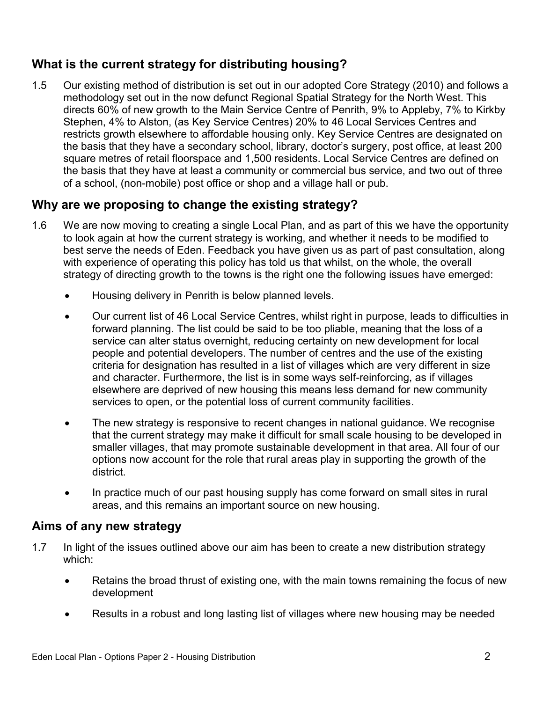## **What is the current strategy for distributing housing?**

1.5 Our existing method of distribution is set out in our adopted Core Strategy (2010) and follows a methodology set out in the now defunct Regional Spatial Strategy for the North West. This directs 60% of new growth to the Main Service Centre of Penrith, 9% to Appleby, 7% to Kirkby Stephen, 4% to Alston, (as Key Service Centres) 20% to 46 Local Services Centres and restricts growth elsewhere to affordable housing only. Key Service Centres are designated on the basis that they have a secondary school, library, doctor's surgery, post office, at least 200 square metres of retail floorspace and 1,500 residents. Local Service Centres are defined on the basis that they have at least a community or commercial bus service, and two out of three of a school, (non-mobile) post office or shop and a village hall or pub.

## **Why are we proposing to change the existing strategy?**

- 1.6 We are now moving to creating a single Local Plan, and as part of this we have the opportunity to look again at how the current strategy is working, and whether it needs to be modified to best serve the needs of Eden. Feedback you have given us as part of past consultation, along with experience of operating this policy has told us that whilst, on the whole, the overall strategy of directing growth to the towns is the right one the following issues have emerged:
	- Housing delivery in Penrith is below planned levels.
	- Our current list of 46 Local Service Centres, whilst right in purpose, leads to difficulties in forward planning. The list could be said to be too pliable, meaning that the loss of a service can alter status overnight, reducing certainty on new development for local people and potential developers. The number of centres and the use of the existing criteria for designation has resulted in a list of villages which are very different in size and character. Furthermore, the list is in some ways self-reinforcing, as if villages elsewhere are deprived of new housing this means less demand for new community services to open, or the potential loss of current community facilities.
	- The new strategy is responsive to recent changes in national guidance. We recognise that the current strategy may make it difficult for small scale housing to be developed in smaller villages, that may promote sustainable development in that area. All four of our options now account for the role that rural areas play in supporting the growth of the district.
	- In practice much of our past housing supply has come forward on small sites in rural areas, and this remains an important source on new housing.

## **Aims of any new strategy**

- 1.7 In light of the issues outlined above our aim has been to create a new distribution strategy which:
	- Retains the broad thrust of existing one, with the main towns remaining the focus of new development
	- Results in a robust and long lasting list of villages where new housing may be needed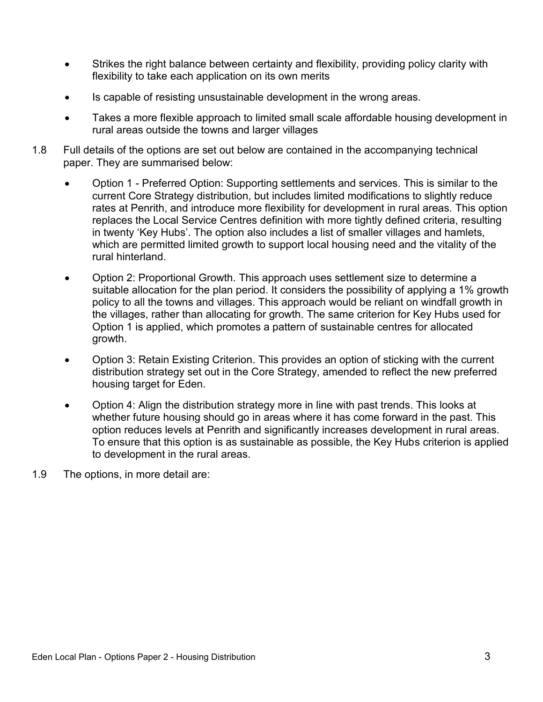- Strikes the right balance between certainty and flexibility, providing policy clarity with flexibility to take each application on its own merits
- Is capable of resisting unsustainable development in the wrong areas.
- Takes a more flexible approach to limited small scale affordable housing development in rural areas outside the towns and larger villages
- 1.8 Full details of the options are set out below are contained in the accompanying technical paper. They are summarised below:
	- Option 1 Preferred Option: Supporting settlements and services. This is similar to the current Core Strategy distribution, but includes limited modifications to slightly reduce rates at Penrith, and introduce more flexibility for development in rural areas. This option replaces the Local Service Centres definition with more tightly defined criteria, resulting in twenty 'Key Hubs'. The option also includes a list of smaller villages and hamlets, which are permitted limited growth to support local housing need and the vitality of the rural hinterland.
	- Option 2: Proportional Growth. This approach uses settlement size to determine a suitable allocation for the plan period. It considers the possibility of applying a 1% growth policy to all the towns and villages. This approach would be reliant on windfall growth in the villages, rather than allocating for growth. The same criterion for Key Hubs used for Option 1 is applied, which promotes a pattern of sustainable centres for allocated growth.
	- Option 3: Retain Existing Criterion. This provides an option of sticking with the current distribution strategy set out in the Core Strategy, amended to reflect the new preferred housing target for Eden.
	- Option 4: Align the distribution strategy more in line with past trends. This looks at whether future housing should go in areas where it has come forward in the past. This option reduces levels at Penrith and significantly increases development in rural areas. To ensure that this option is as sustainable as possible, the Key Hubs criterion is applied to development in the rural areas.
- 1.9 The options, in more detail are: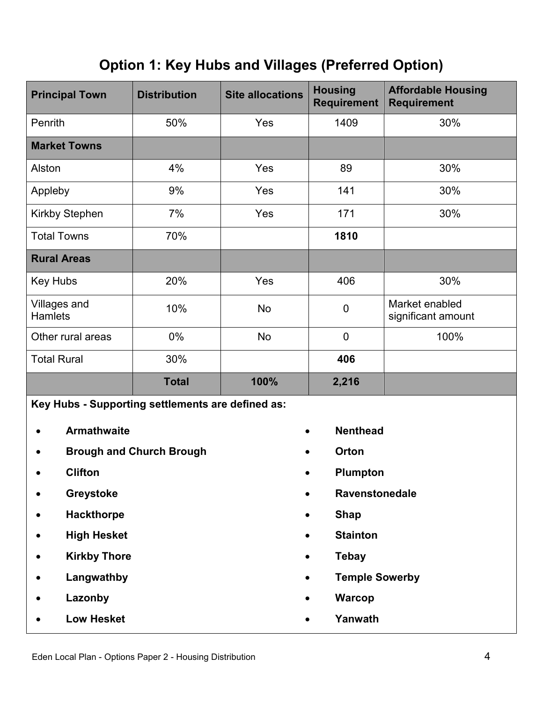## **Option 1: Key Hubs and Villages (Preferred Option)**

| <b>Principal Town</b>                             | <b>Distribution</b> | <b>Site allocations</b> | <b>Housing</b><br><b>Requirement</b> | <b>Affordable Housing</b><br><b>Requirement</b> |
|---------------------------------------------------|---------------------|-------------------------|--------------------------------------|-------------------------------------------------|
| Penrith                                           | 50%                 | Yes                     | 1409                                 | 30%                                             |
| <b>Market Towns</b>                               |                     |                         |                                      |                                                 |
| Alston                                            | 4%                  | Yes                     | 89                                   | 30%                                             |
| Appleby                                           | 9%                  | Yes                     | 141                                  | 30%                                             |
| <b>Kirkby Stephen</b>                             | 7%                  | Yes                     | 171                                  | 30%                                             |
| <b>Total Towns</b>                                | 70%                 |                         | 1810                                 |                                                 |
| <b>Rural Areas</b>                                |                     |                         |                                      |                                                 |
| Key Hubs                                          | 20%                 | Yes                     | 406                                  | 30%                                             |
| Villages and<br><b>Hamlets</b>                    | 10%                 | <b>No</b>               | $\mathbf 0$                          | Market enabled<br>significant amount            |
| Other rural areas                                 | 0%                  | <b>No</b>               | $\overline{0}$                       | 100%                                            |
| <b>Total Rural</b>                                | 30%                 |                         | 406                                  |                                                 |
|                                                   | <b>Total</b>        | 100%                    | 2,216                                |                                                 |
| Key Hubs - Supporting settlements are defined as: |                     |                         |                                      |                                                 |

- **Armathwaite**
- **Brough and Church Brough**
- **Clifton**
- **Greystoke**
- **Hackthorpe**
- **High Hesket**
- **Kirkby Thore**
- **Langwathby**
- **Lazonby**
- **Low Hesket**
- **Nenthead**
- **Orton**
- **Plumpton**
- **Ravenstonedale**
- **Shap**
- **Stainton**
- **Tebay**
- **Temple Sowerby**
- **Warcop**
- **Yanwath**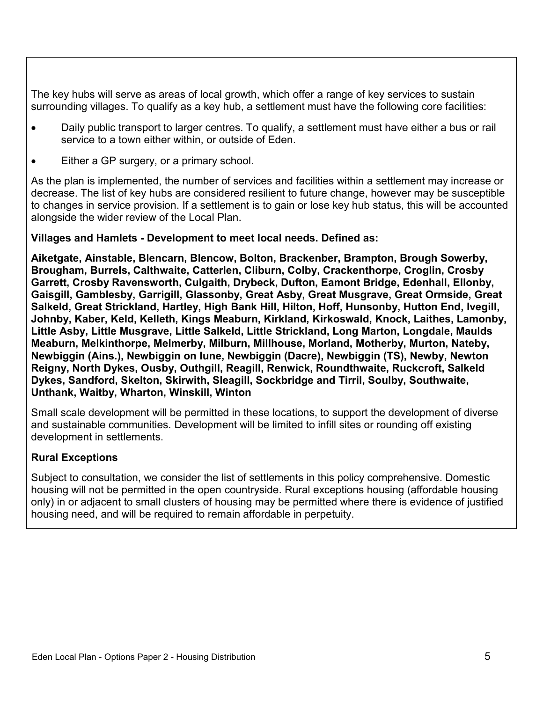The key hubs will serve as areas of local growth, which offer a range of key services to sustain surrounding villages. To qualify as a key hub, a settlement must have the following core facilities:

- Daily public transport to larger centres. To qualify, a settlement must have either a bus or rail service to a town either within, or outside of Eden.
- Either a GP surgery, or a primary school.

As the plan is implemented, the number of services and facilities within a settlement may increase or decrease. The list of key hubs are considered resilient to future change, however may be susceptible to changes in service provision. If a settlement is to gain or lose key hub status, this will be accounted alongside the wider review of the Local Plan.

#### **Villages and Hamlets - Development to meet local needs. Defined as:**

**Aiketgate, Ainstable, Blencarn, Blencow, Bolton, Brackenber, Brampton, Brough Sowerby, Brougham, Burrels, Calthwaite, Catterlen, Cliburn, Colby, Crackenthorpe, Croglin, Crosby Garrett, Crosby Ravensworth, Culgaith, Drybeck, Dufton, Eamont Bridge, Edenhall, Ellonby, Gaisgill, Gamblesby, Garrigill, Glassonby, Great Asby, Great Musgrave, Great Ormside, Great Salkeld, Great Strickland, Hartley, High Bank Hill, Hilton, Hoff, Hunsonby, Hutton End, Ivegill, Johnby, Kaber, Keld, Kelleth, Kings Meaburn, Kirkland, Kirkoswald, Knock, Laithes, Lamonby, Little Asby, Little Musgrave, Little Salkeld, Little Strickland, Long Marton, Longdale, Maulds Meaburn, Melkinthorpe, Melmerby, Milburn, Millhouse, Morland, Motherby, Murton, Nateby, Newbiggin (Ains.), Newbiggin on lune, Newbiggin (Dacre), Newbiggin (TS), Newby, Newton Reigny, North Dykes, Ousby, Outhgill, Reagill, Renwick, Roundthwaite, Ruckcroft, Salkeld Dykes, Sandford, Skelton, Skirwith, Sleagill, Sockbridge and Tirril, Soulby, Southwaite, Unthank, Waitby, Wharton, Winskill, Winton**

Small scale development will be permitted in these locations, to support the development of diverse and sustainable communities. Development will be limited to infill sites or rounding off existing development in settlements.

#### **Rural Exceptions**

Subject to consultation, we consider the list of settlements in this policy comprehensive. Domestic housing will not be permitted in the open countryside. Rural exceptions housing (affordable housing only) in or adjacent to small clusters of housing may be permitted where there is evidence of justified housing need, and will be required to remain affordable in perpetuity.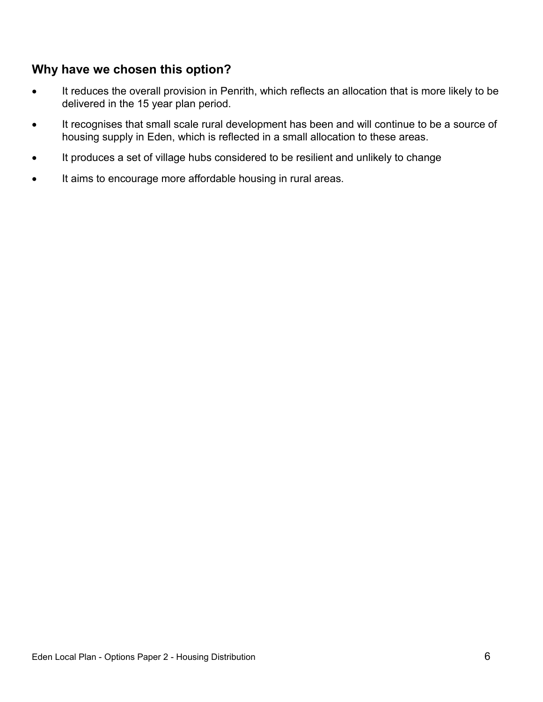## **Why have we chosen this option?**

- It reduces the overall provision in Penrith, which reflects an allocation that is more likely to be delivered in the 15 year plan period.
- It recognises that small scale rural development has been and will continue to be a source of housing supply in Eden, which is reflected in a small allocation to these areas.
- It produces a set of village hubs considered to be resilient and unlikely to change
- It aims to encourage more affordable housing in rural areas.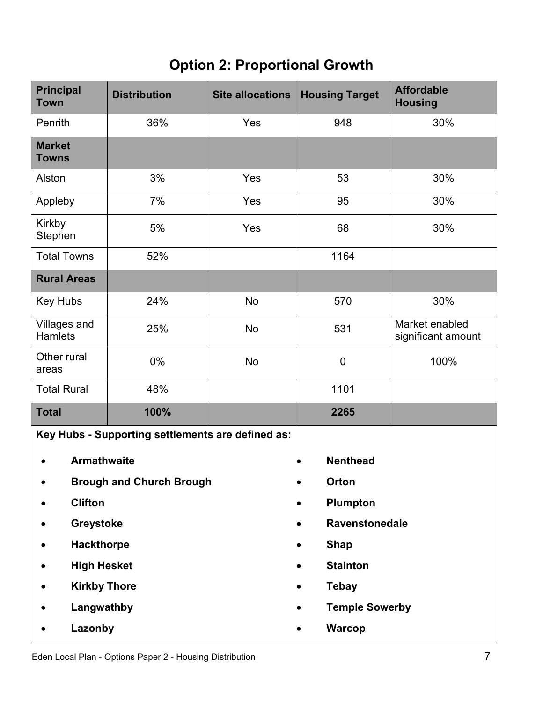## **Option 2: Proportional Growth**

| <b>Principal</b><br><b>Town</b>                   | <b>Distribution</b> | <b>Site allocations</b>  | <b>Housing Target</b>        | <b>Affordable</b><br><b>Housing</b>  |  |
|---------------------------------------------------|---------------------|--------------------------|------------------------------|--------------------------------------|--|
| Penrith                                           | 36%                 | Yes                      | 948                          | 30%                                  |  |
| <b>Market</b><br><b>Towns</b>                     |                     |                          |                              |                                      |  |
| Alston                                            | 3%                  | Yes                      | 53                           | 30%                                  |  |
| Appleby                                           | 7%                  | Yes                      | 95                           | 30%                                  |  |
| Kirkby<br>Stephen                                 | 5%                  | Yes                      | 68                           | 30%                                  |  |
| <b>Total Towns</b>                                | 52%                 |                          | 1164                         |                                      |  |
| <b>Rural Areas</b>                                |                     |                          |                              |                                      |  |
| Key Hubs                                          | 24%                 | <b>No</b>                | 570                          | 30%                                  |  |
| Villages and<br>Hamlets                           | 25%                 | <b>No</b>                | 531                          | Market enabled<br>significant amount |  |
| Other rural<br>areas                              | 0%                  | <b>No</b>                | $\mathbf 0$                  | 100%                                 |  |
| <b>Total Rural</b>                                | 48%                 |                          | 1101                         |                                      |  |
| <b>Total</b>                                      | 100%                |                          | 2265                         |                                      |  |
| Key Hubs - Supporting settlements are defined as: |                     |                          |                              |                                      |  |
| <b>Armathwaite</b>                                |                     |                          | <b>Nenthead</b>              |                                      |  |
| <b>Brough and Church Brough</b>                   |                     |                          | Orton                        |                                      |  |
| <b>Clifton</b>                                    |                     | Plumpton                 |                              |                                      |  |
| Greystoke                                         |                     |                          | Ravenstonedale               |                                      |  |
| <b>Hackthorpe</b>                                 |                     | <b>Shap</b><br>$\bullet$ |                              |                                      |  |
| <b>High Hesket</b>                                |                     |                          | <b>Stainton</b><br>$\bullet$ |                                      |  |
| <b>Kirkby Thore</b>                               |                     |                          | <b>Tebay</b>                 |                                      |  |
| Langwathby                                        |                     |                          | <b>Temple Sowerby</b>        |                                      |  |

**Warcop**

- **Langwathby**
- **Lazonby**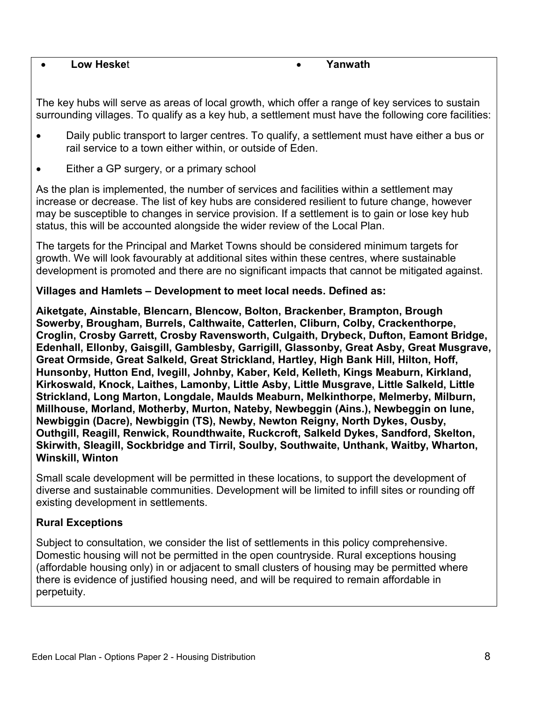#### **Low Heske**t **Yanwath**

The key hubs will serve as areas of local growth, which offer a range of key services to sustain surrounding villages. To qualify as a key hub, a settlement must have the following core facilities:

- Daily public transport to larger centres. To qualify, a settlement must have either a bus or rail service to a town either within, or outside of Eden.
- Either a GP surgery, or a primary school

As the plan is implemented, the number of services and facilities within a settlement may increase or decrease. The list of key hubs are considered resilient to future change, however may be susceptible to changes in service provision. If a settlement is to gain or lose key hub status, this will be accounted alongside the wider review of the Local Plan.

The targets for the Principal and Market Towns should be considered minimum targets for growth. We will look favourably at additional sites within these centres, where sustainable development is promoted and there are no significant impacts that cannot be mitigated against.

#### **Villages and Hamlets – Development to meet local needs. Defined as:**

**Aiketgate, Ainstable, Blencarn, Blencow, Bolton, Brackenber, Brampton, Brough Sowerby, Brougham, Burrels, Calthwaite, Catterlen, Cliburn, Colby, Crackenthorpe, Croglin, Crosby Garrett, Crosby Ravensworth, Culgaith, Drybeck, Dufton, Eamont Bridge, Edenhall, Ellonby, Gaisgill, Gamblesby, Garrigill, Glassonby, Great Asby, Great Musgrave, Great Ormside, Great Salkeld, Great Strickland, Hartley, High Bank Hill, Hilton, Hoff, Hunsonby, Hutton End, Ivegill, Johnby, Kaber, Keld, Kelleth, Kings Meaburn, Kirkland, Kirkoswald, Knock, Laithes, Lamonby, Little Asby, Little Musgrave, Little Salkeld, Little Strickland, Long Marton, Longdale, Maulds Meaburn, Melkinthorpe, Melmerby, Milburn, Millhouse, Morland, Motherby, Murton, Nateby, Newbeggin (Ains.), Newbeggin on lune, Newbiggin (Dacre), Newbiggin (TS), Newby, Newton Reigny, North Dykes, Ousby, Outhgill, Reagill, Renwick, Roundthwaite, Ruckcroft, Salkeld Dykes, Sandford, Skelton, Skirwith, Sleagill, Sockbridge and Tirril, Soulby, Southwaite, Unthank, Waitby, Wharton, Winskill, Winton**

Small scale development will be permitted in these locations, to support the development of diverse and sustainable communities. Development will be limited to infill sites or rounding off existing development in settlements.

### **Rural Exceptions**

Subject to consultation, we consider the list of settlements in this policy comprehensive. Domestic housing will not be permitted in the open countryside. Rural exceptions housing (affordable housing only) in or adjacent to small clusters of housing may be permitted where there is evidence of justified housing need, and will be required to remain affordable in perpetuity.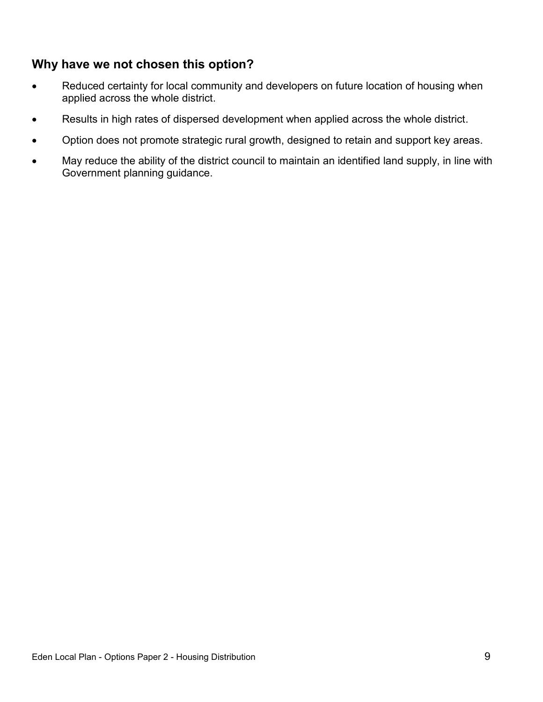## **Why have we not chosen this option?**

- Reduced certainty for local community and developers on future location of housing when applied across the whole district.
- Results in high rates of dispersed development when applied across the whole district.
- Option does not promote strategic rural growth, designed to retain and support key areas.
- May reduce the ability of the district council to maintain an identified land supply, in line with Government planning guidance.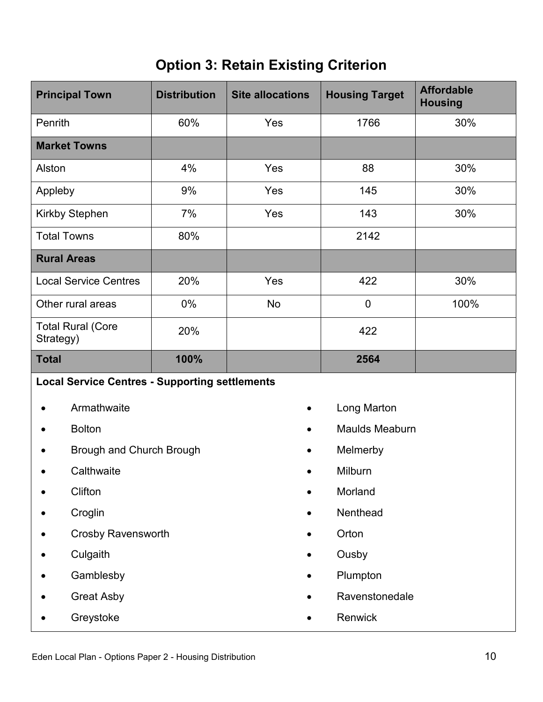## **Option 3: Retain Existing Criterion**

| <b>Principal Town</b>                                 | <b>Distribution</b> | <b>Site allocations</b> | <b>Housing Target</b> | <b>Affordable</b><br><b>Housing</b> |  |  |
|-------------------------------------------------------|---------------------|-------------------------|-----------------------|-------------------------------------|--|--|
| Penrith                                               | 60%                 | Yes                     | 1766                  | 30%                                 |  |  |
| <b>Market Towns</b>                                   |                     |                         |                       |                                     |  |  |
| Alston                                                | 4%                  | Yes                     | 88                    | 30%                                 |  |  |
| Appleby                                               | 9%                  | Yes                     | 145                   | 30%                                 |  |  |
| Kirkby Stephen                                        | 7%                  | Yes                     | 143                   | 30%                                 |  |  |
| <b>Total Towns</b>                                    | 80%                 |                         | 2142                  |                                     |  |  |
| <b>Rural Areas</b>                                    |                     |                         |                       |                                     |  |  |
| <b>Local Service Centres</b>                          | 20%                 | Yes                     | 422                   | 30%                                 |  |  |
| Other rural areas                                     | 0%                  | <b>No</b>               | $\mathbf 0$           | 100%                                |  |  |
| <b>Total Rural (Core</b><br>Strategy)                 | 20%                 |                         | 422                   |                                     |  |  |
| <b>Total</b>                                          | 100%                |                         | 2564                  |                                     |  |  |
| <b>Local Service Centres - Supporting settlements</b> |                     |                         |                       |                                     |  |  |
| Armathwaite                                           |                     | $\bullet$               | Long Marton           |                                     |  |  |
| <b>Bolton</b>                                         |                     |                         | <b>Maulds Meaburn</b> |                                     |  |  |
| Brough and Church Brough                              |                     |                         | Melmerby              |                                     |  |  |
| Calthwaite                                            |                     |                         | Milburn               |                                     |  |  |
| Clifton                                               |                     |                         | Morland               |                                     |  |  |
| Croglin                                               |                     |                         | Nenthead              |                                     |  |  |
| <b>Crosby Ravensworth</b>                             |                     |                         | Orton                 |                                     |  |  |
| Culgaith                                              |                     |                         | Ousby                 |                                     |  |  |
| Gamblesby                                             |                     |                         | Plumpton              |                                     |  |  |
| <b>Great Asby</b>                                     |                     |                         |                       | Ravenstonedale                      |  |  |
| Greystoke                                             |                     |                         | Renwick               |                                     |  |  |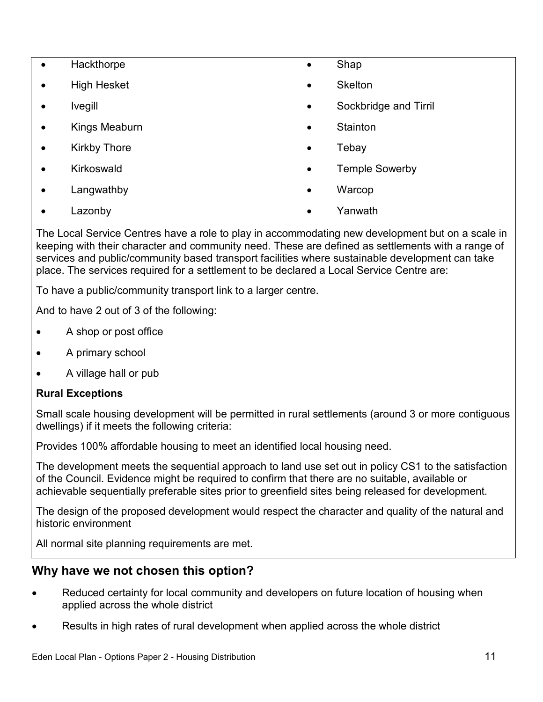- Hackthorpe
- High Hesket
- Ivegill
- Kings Meaburn
- Kirkby Thore
- Kirkoswald
- Langwathby
- Lazonby
- Shap
- **Skelton**
- Sockbridge and Tirril
- **Stainton**
- **Tebav**
- Temple Sowerby
- Warcop
- Yanwath

The Local Service Centres have a role to play in accommodating new development but on a scale in keeping with their character and community need. These are defined as settlements with a range of services and public/community based transport facilities where sustainable development can take place. The services required for a settlement to be declared a Local Service Centre are:

To have a public/community transport link to a larger centre.

And to have 2 out of 3 of the following:

- A shop or post office
- A primary school
- A village hall or pub

## **Rural Exceptions**

Small scale housing development will be permitted in rural settlements (around 3 or more contiguous dwellings) if it meets the following criteria:

Provides 100% affordable housing to meet an identified local housing need.

The development meets the sequential approach to land use set out in policy CS1 to the satisfaction of the Council. Evidence might be required to confirm that there are no suitable, available or achievable sequentially preferable sites prior to greenfield sites being released for development.

The design of the proposed development would respect the character and quality of the natural and historic environment

All normal site planning requirements are met.

## **Why have we not chosen this option?**

- Reduced certainty for local community and developers on future location of housing when applied across the whole district
- Results in high rates of rural development when applied across the whole district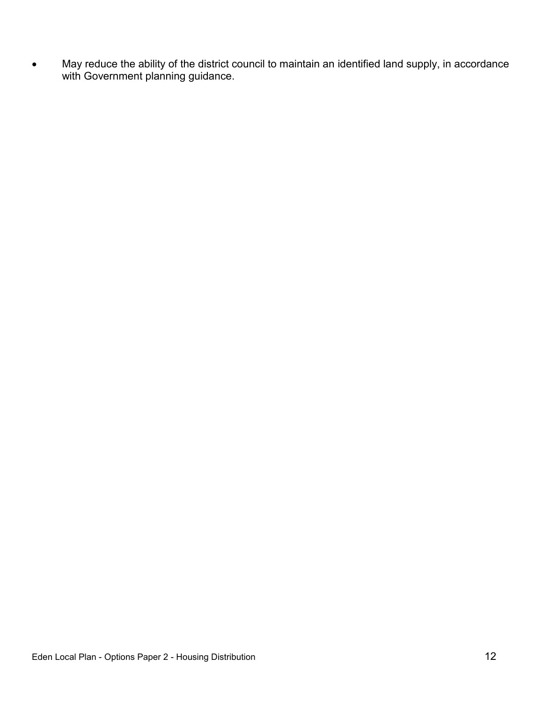May reduce the ability of the district council to maintain an identified land supply, in accordance with Government planning guidance.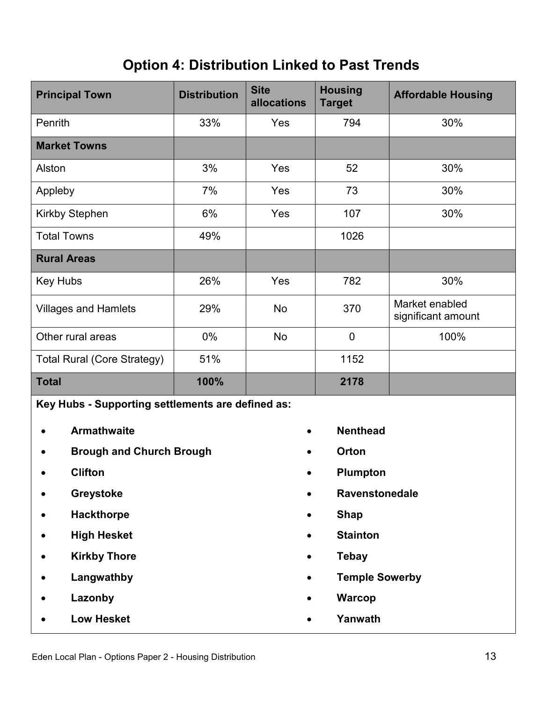## **Option 4: Distribution Linked to Past Trends**

| <b>Principal Town</b>              | <b>Distribution</b>                               | <b>Site</b><br>allocations | <b>Housing</b><br><b>Target</b> | <b>Affordable Housing</b>            |  |  |
|------------------------------------|---------------------------------------------------|----------------------------|---------------------------------|--------------------------------------|--|--|
| Penrith                            | 33%                                               | Yes                        | 794                             | 30%                                  |  |  |
| <b>Market Towns</b>                |                                                   |                            |                                 |                                      |  |  |
| Alston                             | 3%                                                | Yes                        | 52                              | 30%                                  |  |  |
| Appleby                            | 7%                                                | Yes                        | 73                              | 30%                                  |  |  |
| Kirkby Stephen                     | 6%                                                | Yes                        | 107                             | 30%                                  |  |  |
| <b>Total Towns</b>                 | 49%                                               |                            | 1026                            |                                      |  |  |
| <b>Rural Areas</b>                 |                                                   |                            |                                 |                                      |  |  |
| <b>Key Hubs</b>                    | 26%                                               | Yes                        | 782                             | 30%                                  |  |  |
| <b>Villages and Hamlets</b>        | 29%                                               | <b>No</b>                  | 370                             | Market enabled<br>significant amount |  |  |
| Other rural areas                  | $0\%$                                             | <b>No</b>                  | $\mathbf 0$                     | 100%                                 |  |  |
| <b>Total Rural (Core Strategy)</b> | 51%                                               |                            | 1152                            |                                      |  |  |
| <b>Total</b>                       | 100%                                              |                            | 2178                            |                                      |  |  |
|                                    | Key Hubs - Supporting settlements are defined as: |                            |                                 |                                      |  |  |
| <b>Armathwaite</b>                 |                                                   |                            | <b>Nenthead</b>                 |                                      |  |  |
| <b>Brough and Church Brough</b>    |                                                   |                            | Orton                           |                                      |  |  |
| <b>Clifton</b>                     |                                                   |                            | Plumpton                        |                                      |  |  |
| Greystoke                          |                                                   |                            |                                 | Ravenstonedale                       |  |  |
| <b>Hackthorpe</b>                  |                                                   | $\bullet$                  | <b>Shap</b>                     |                                      |  |  |
| <b>High Hesket</b>                 |                                                   |                            | <b>Stainton</b>                 |                                      |  |  |
| <b>Kirkby Thore</b>                |                                                   | $\bullet$                  | <b>Tebay</b>                    |                                      |  |  |
| Langwathby                         |                                                   |                            |                                 | <b>Temple Sowerby</b>                |  |  |
| Lazonby                            |                                                   |                            | <b>Warcop</b>                   |                                      |  |  |

**Low Hesket**

**Yanwath**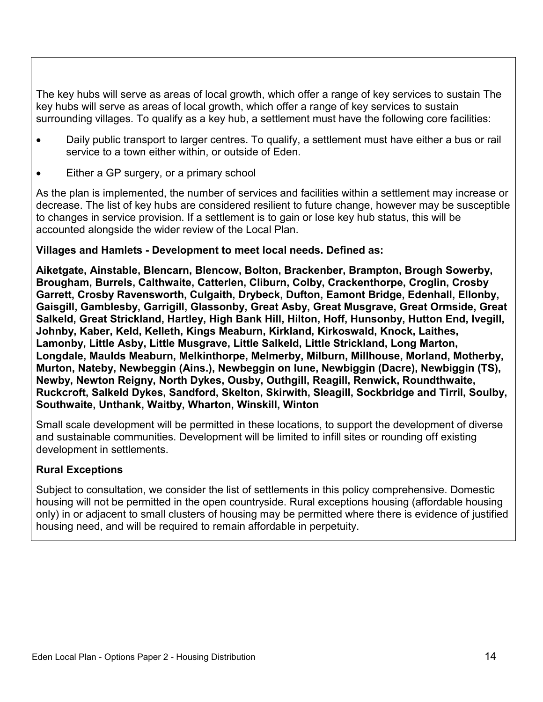The key hubs will serve as areas of local growth, which offer a range of key services to sustain The key hubs will serve as areas of local growth, which offer a range of key services to sustain surrounding villages. To qualify as a key hub, a settlement must have the following core facilities:

- Daily public transport to larger centres. To qualify, a settlement must have either a bus or rail service to a town either within, or outside of Eden.
- Either a GP surgery, or a primary school

As the plan is implemented, the number of services and facilities within a settlement may increase or decrease. The list of key hubs are considered resilient to future change, however may be susceptible to changes in service provision. If a settlement is to gain or lose key hub status, this will be accounted alongside the wider review of the Local Plan.

## **Villages and Hamlets - Development to meet local needs. Defined as:**

**Aiketgate, Ainstable, Blencarn, Blencow, Bolton, Brackenber, Brampton, Brough Sowerby, Brougham, Burrels, Calthwaite, Catterlen, Cliburn, Colby, Crackenthorpe, Croglin, Crosby Garrett, Crosby Ravensworth, Culgaith, Drybeck, Dufton, Eamont Bridge, Edenhall, Ellonby, Gaisgill, Gamblesby, Garrigill, Glassonby, Great Asby, Great Musgrave, Great Ormside, Great Salkeld, Great Strickland, Hartley, High Bank Hill, Hilton, Hoff, Hunsonby, Hutton End, Ivegill, Johnby, Kaber, Keld, Kelleth, Kings Meaburn, Kirkland, Kirkoswald, Knock, Laithes, Lamonby, Little Asby, Little Musgrave, Little Salkeld, Little Strickland, Long Marton, Longdale, Maulds Meaburn, Melkinthorpe, Melmerby, Milburn, Millhouse, Morland, Motherby, Murton, Nateby, Newbeggin (Ains.), Newbeggin on lune, Newbiggin (Dacre), Newbiggin (TS), Newby, Newton Reigny, North Dykes, Ousby, Outhgill, Reagill, Renwick, Roundthwaite, Ruckcroft, Salkeld Dykes, Sandford, Skelton, Skirwith, Sleagill, Sockbridge and Tirril, Soulby, Southwaite, Unthank, Waitby, Wharton, Winskill, Winton**

Small scale development will be permitted in these locations, to support the development of diverse and sustainable communities. Development will be limited to infill sites or rounding off existing development in settlements.

## **Rural Exceptions**

Subject to consultation, we consider the list of settlements in this policy comprehensive. Domestic housing will not be permitted in the open countryside. Rural exceptions housing (affordable housing only) in or adjacent to small clusters of housing may be permitted where there is evidence of justified housing need, and will be required to remain affordable in perpetuity.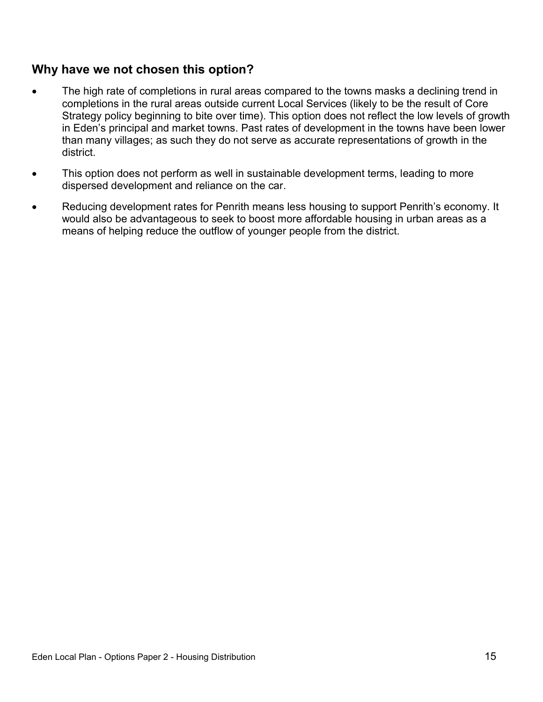## **Why have we not chosen this option?**

- The high rate of completions in rural areas compared to the towns masks a declining trend in completions in the rural areas outside current Local Services (likely to be the result of Core Strategy policy beginning to bite over time). This option does not reflect the low levels of growth in Eden's principal and market towns. Past rates of development in the towns have been lower than many villages; as such they do not serve as accurate representations of growth in the district.
- This option does not perform as well in sustainable development terms, leading to more dispersed development and reliance on the car.
- Reducing development rates for Penrith means less housing to support Penrith's economy. It would also be advantageous to seek to boost more affordable housing in urban areas as a means of helping reduce the outflow of younger people from the district.